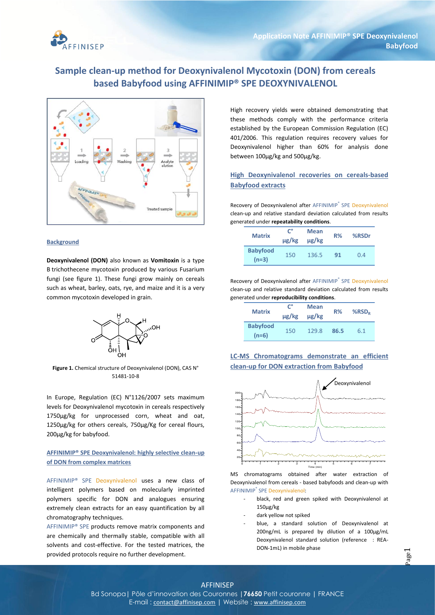

# **Sample clean-up method for Deoxynivalenol Mycotoxin (DON) from cereals based Babyfood using AFFINIMIP® SPE DEOXYNIVALENOL**



### **Background**

**Deoxynivalenol (DON)** also known as **Vomitoxin** is a type B trichothecene mycotoxin produced by various Fusarium fungi (see figure 1). These fungi grow mainly on cereals such as wheat, barley, oats, rye, and maize and it is a very common mycotoxin developed in grain.



**Figure 1.** Chemical structure of Deoxynivalenol (DON), CAS N° 51481-10-8

In Europe, Regulation (EC) N°1126/2007 sets maximum levels for Deoxynivalenol mycotoxin in cereals respectively 1750µg/kg for unprocessed corn, wheat and oat, 1250µg/kg for others cereals, 750µg/Kg for cereal flours, 200µg/kg for babyfood.

### **AFFINIMIP® SPE Deoxynivalenol: highly selective clean-up of DON from complex matrices**

AFFINIMIP® SPE Deoxynivalenol uses a new class of intelligent polymers based on molecularly imprinted polymers specific for DON and analogues ensuring extremely clean extracts for an easy quantification by all chromatography techniques.

AFFINIMIP® SPE products remove matrix components and are chemically and thermally stable, compatible with all solvents and cost-effective. For the tested matrices, the provided protocols require no further development.

High recovery yields were obtained demonstrating that these methods comply with the performance criteria established by the European Commission Regulation (EC) 401/2006. This regulation requires recovery values for Deoxynivalenol higher than 60% for analysis done between 100µg/kg and 500µg/kg.

# **High Deoxynivalenol recoveries on cereals-based Babyfood extracts**

Recovery of Deoxynivalenol after AFFINIMIP® SPE Deoxynivalenol clean-up and relative standard deviation calculated from results generated under **repeatability conditions**.

| <b>Matrix</b>              | C°<br>$\mu$ g/kg | <b>Mean</b><br>ug/kg | $R\%$ | %RSDr |
|----------------------------|------------------|----------------------|-------|-------|
| <b>Babyfood</b><br>$(n=3)$ | 150              | 136.5                | 91    | 0.4   |

Recovery of Deoxynivalenol after AFFINIMIP® SPE Deoxynivalenol clean-up and relative standard deviation calculated from results generated under **reproducibility conditions**.

| <b>Matrix</b>              | $\mathsf{C}^{\circ}$<br>µg/kg | <b>Mean</b><br>$\mu$ g/kg | R%   | $%$ RSD <sub>R</sub> |
|----------------------------|-------------------------------|---------------------------|------|----------------------|
| <b>Babyfood</b><br>$(n=6)$ | 150                           | 129.8                     | 86.5 | 6.1                  |





MS chromatograms obtained after water extraction of Deoxynivalenol from cereals - based babyfoods and clean-up with AFFINIMIP® SPE Deoxynivalenol:

- black, red and green spiked with Deoxynivalenol at 150µg/kg
- dark yellow not spiked
- blue, a standard solution of Deoxynivalenol at 200ng/mL is prepared by dilution of a 100µg/mL Deoxynivalenol standard solution (reference : REA-DON-1mL) in mobile phase

# AFFINISEP Bd Sonopa**|** Pôle d'innovation des Couronnes **|76650** Petit couronne **|** FRANCE

E-mail : contact@affinisep.com **|** Website : www.affinisep.com